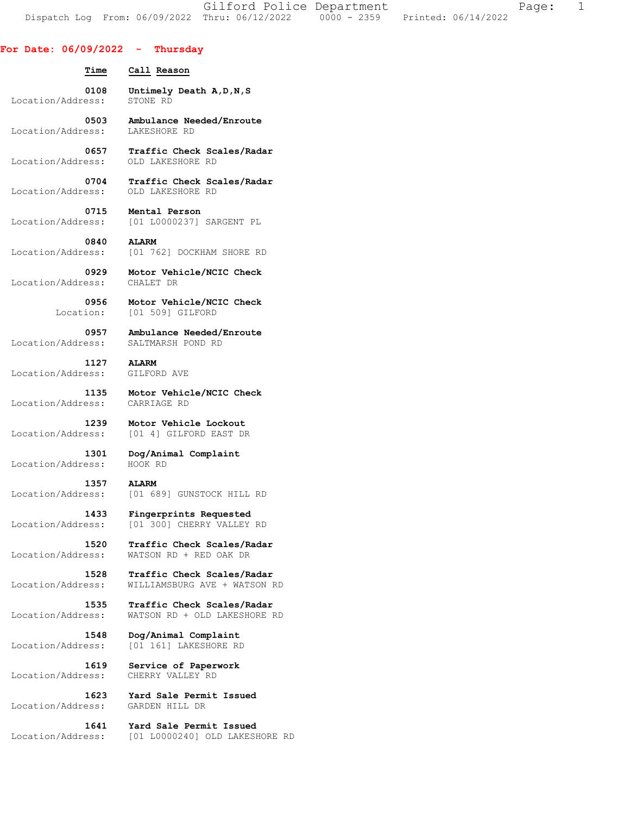Gilford Police Department The Page: 1 Dispatch Log From: 06/09/2022 Thru: 06/12/2022 0000 - 2359 Printed: 06/14/2022

## **For Date: 06/09/2022 - Thursday**

| Time              | Call Reason                    |
|-------------------|--------------------------------|
| 0108              | Untimely Death A, D, N, S      |
| Location/Address: | STONE RD                       |
| 0503              | Ambulance Needed/Enroute       |
| Location/Address: | LAKESHORE RD                   |
| 0657              | Traffic Check Scales/Radar     |
| Location/Address: | OLD LAKESHORE RD               |
| 0704              | Traffic Check Scales/Radar     |
| Location/Address: | OLD LAKESHORE RD               |
| 0715 —            | Mental Person                  |
| Location/Address: | [01 L0000237] SARGENT PL       |
| 0840              | <b>ALARM</b>                   |
| Location/Address: | [01 762] DOCKHAM SHORE RD      |
| 0929              | Motor Vehicle/NCIC Check       |
| Location/Address: | CHALET DR                      |
| 0956              | Motor Vehicle/NCIC Check       |
| Location:         | [01 509] GILFORD               |
| 0957              | Ambulance Needed/Enroute       |
| Location/Address: | SALTMARSH POND RD              |
| 1127              | <b>ALARM</b>                   |
| Location/Address: | GILFORD AVE                    |
| 1135              | Motor Vehicle/NCIC Check       |
| Location/Address: | CARRIAGE RD                    |
| 1239              | Motor Vehicle Lockout          |
| Location/Address: | [01 4] GILFORD EAST DR         |
| 1301              | Dog/Animal Complaint           |
| Location/Address: | HOOK RD                        |
| 1357 - 13         | <b>ALARM</b>                   |
| Location/Address: | [01 689] GUNSTOCK HILL RD      |
| 1433              | Fingerprints Requested         |
| Location/Address: | [01 300] CHERRY VALLEY RD      |
| 1520              | Traffic Check Scales/Radar     |
| Location/Address: | WATSON RD + RED OAK DR         |
| 1528              | Traffic Check Scales/Radar     |
| Location/Address: | WILLIAMSBURG AVE + WATSON RD   |
| 1535              | Traffic Check Scales/Radar     |
| Location/Address: | WATSON RD + OLD LAKESHORE RD   |
| 1548              | Dog/Animal Complaint           |
| Location/Address: | [01 161] LAKESHORE RD          |
| 1619              | Service of Paperwork           |
| Location/Address: | CHERRY VALLEY RD               |
| 1623              | Yard Sale Permit Issued        |
| Location/Address: | GARDEN HILL DR                 |
| 1641              | Yard Sale Permit Issued        |
| Location/Address: | [01 L0000240] OLD LAKESHORE RD |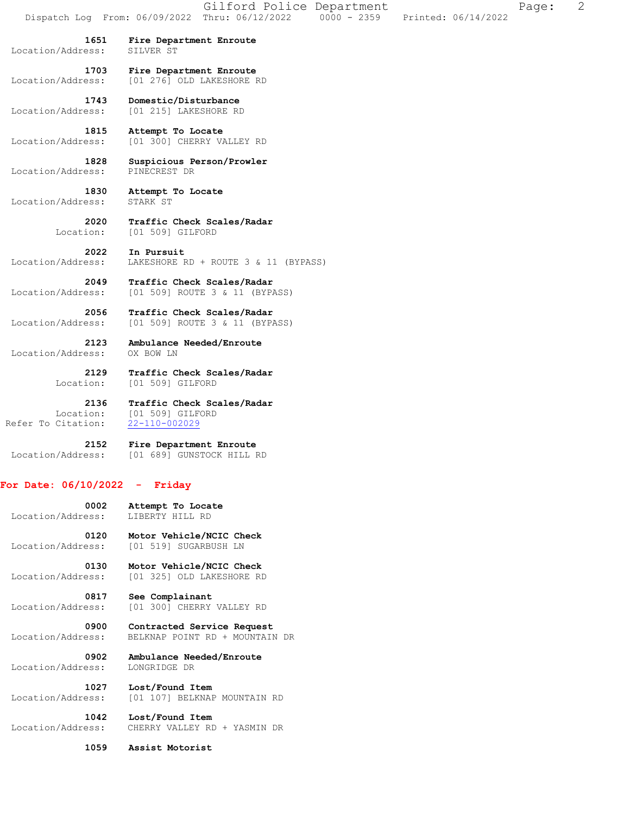**1651 Fire Department Enroute**  Location/Address: SILVER ST

 **1703 Fire Department Enroute**  Location/Address: [01 276] OLD LAKESHORE RD

 **1743 Domestic/Disturbance**  Location/Address: [01 215] LAKESHORE RD

 **1815 Attempt To Locate**  Location/Address: [01 300] CHERRY VALLEY RD

 **1828 Suspicious Person/Prowler**  Location/Address: PINECREST DR

 **1830 Attempt To Locate**  Location/Address: STARK ST

> **2020 Traffic Check Scales/Radar**  Location: [01 509] GILFORD

 **2022 In Pursuit**  Location/Address: LAKESHORE RD + ROUTE 3 & 11 (BYPASS)

**2049 Traffic Check Scales/Radar** Location/Address: [01 509] ROUTE 3 & 11 (BYP. Location/Address: [01 509] ROUTE 3 & 11 (BYPASS)

 **2056 Traffic Check Scales/Radar**  Location/Address: [01 509] ROUTE 3 & 11 (BYPASS)

 **2123 Ambulance Needed/Enroute**  Location/Address: OX BOW LN

> **2129 Traffic Check Scales/Radar**  Location: [01 509] GILFORD

Location: [01 509] GILFORD

 **2136 Traffic Check Scales/Radar**  Refer To Citation: 22-110-002029

 **2152 Fire Department Enroute**  Location/Address: [01 689] GUNSTOCK HILL RD

## **For Date: 06/10/2022 - Friday**

 **0002 Attempt To Locate**  Location/Address: LIBERTY HILL RD

 **0120 Motor Vehicle/NCIC Check**  Location/Address: [01 519] SUGARBUSH LN

 **0130 Motor Vehicle/NCIC Check**  Location/Address: [01 325] OLD LAKESHORE RD

**0817 See Complainant**<br>Location/Address: [01 300] CHERRY [01 300] CHERRY VALLEY RD

 **0900 Contracted Service Request**  Location/Address: BELKNAP POINT RD + MOUNTAIN DR

 **0902 Ambulance Needed/Enroute**  Location/Address:

 **1027 Lost/Found Item**  Location/Address: [01 107] BELKNAP MOUNTAIN RD

 **1042 Lost/Found Item**  Location/Address: CHERRY VALLEY RD + YASMIN DR

 **1059 Assist Motorist**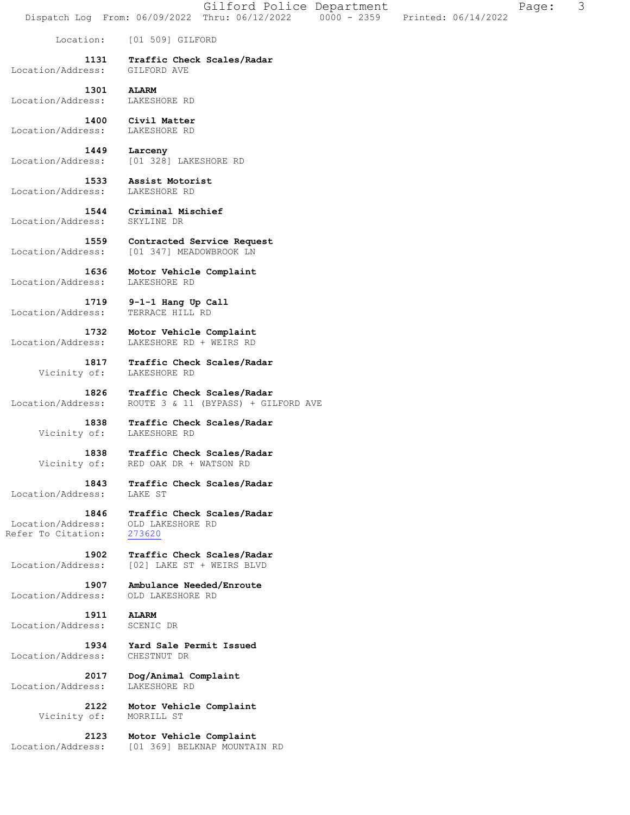Location: [01 509] GILFORD  **1131 Traffic Check Scales/Radar**  Location/Address: GILFORD AVE 1301 ALARM<br> **ESS:** LAKESHORE RD Location/Address:  **1400 Civil Matter**  Location/Address:  **1449 Larceny**  Location/Address: [01 328] LAKESHORE RD  **1533 Assist Motorist**  Location/Address: LAKESHORE RD  **1544 Criminal Mischief**  Location/Address: SKYLINE DR  **1559 Contracted Service Request**  Location/Address: [01 347] MEADOWBROOK LN  **1636 Motor Vehicle Complaint**  Location/Address: LAKESHORE RD  **1719 9-1-1 Hang Up Call**  Location/Address: TERRACE HILL RD  **1732 Motor Vehicle Complaint**  Location/Address: LAKESHORE RD + WEIRS RD  **1817 Traffic Check Scales/Radar**  Vicinity of:  **1826 Traffic Check Scales/Radar**  Location/Address: ROUTE 3 & 11 (BYPASS) + GILFORD AVE  **1838 Traffic Check Scales/Radar**  Vicinity of: LAKESHORE RD  **1838 Traffic Check Scales/Radar**  Vicinity of: RED OAK DR + WATSON RD  **1843 Traffic Check Scales/Radar**  Location/Address: LAKE ST  **1846 Traffic Check Scales/Radar**  Location/Address: OLD LAKESHORE RD Refer To Citation: 273620 **1902 Traffic Check Scales/Radar** Location/Address: [02] LAKE ST + WEIRS BLVD Location/Address: [02] LAKE ST + WEIRS BLVD  **1907 Ambulance Needed/Enroute**  Location/Address: OLD LAKESHORE RD  **1911 ALARM**  Location/Address: SCENIC DR  **1934 Yard Sale Permit Issued**  Location/Address: CHESTNUT DR  **2017 Dog/Animal Complaint**  Location/Address: LAKESHORE RD  **2122 Motor Vehicle Complaint**  Vicinity of:  **2123 Motor Vehicle Complaint**  Location/Address: [01 369] BELKNAP MOUNTAIN RD

Dispatch Log From: 06/09/2022 Thru: 06/12/2022 0000 - 2359 Printed: 06/14/2022

Gilford Police Department Fage: 3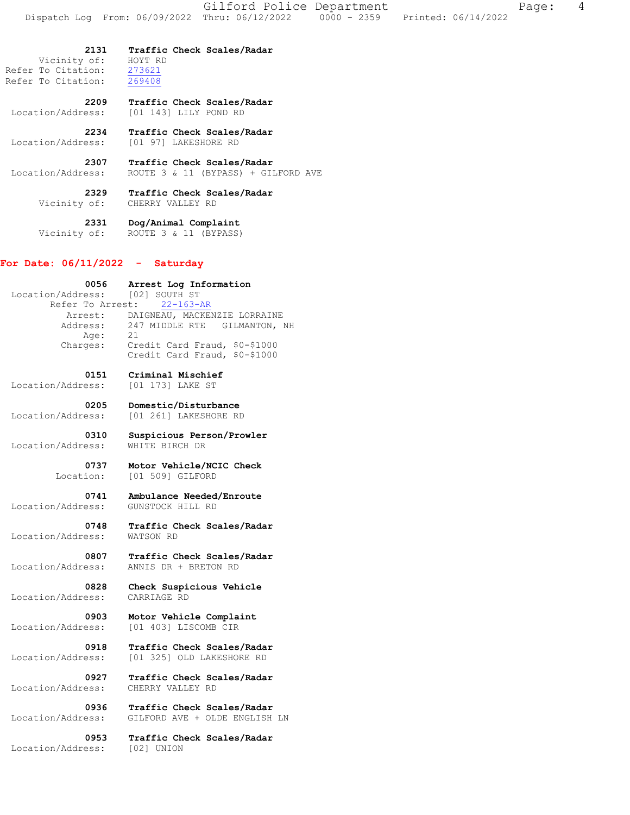**2131 Traffic Check Scales/Radar**  Vicinity of: HOYT RD Refer To Citation: 273621 Refer To Citation: 269408  **2209 Traffic Check Scales/Radar**  Location/Address: [01 143] LILY POND RD  **2234 Traffic Check Scales/Radar**  Location/Address: [01 97] LAKESHORE RD  **2307 Traffic Check Scales/Radar**  Location/Address: ROUTE 3 & 11 (BYPASS) + GILFORD AVE  **2329 Traffic Check Scales/Radar**  Vicinity of: CHERRY VALLEY RD  **2331 Dog/Animal Complaint**  Vicinity of: ROUTE 3 & 11 (BYPASS) **For Date: 06/11/2022 - Saturday 0056 Arrest Log Information**  Location/Address: [02] SOUTH ST Refer To Arrest: 22-163-AR Arrest: DAIGNEAU, MACKENZIE LORRAINE Address: 247 MIDDLE RTE GILMANTON, NH Age: 21 Charges: Credit Card Fraud, \$0-\$1000 Credit Card Fraud, \$0-\$1000  **0151 Criminal Mischief**  Location/Address: [01 173] LAKE ST  **0205 Domestic/Disturbance**  Location/Address: [01 261] LAKESHORE RD  **0310 Suspicious Person/Prowler**  Location/Address:  **0737 Motor Vehicle/NCIC Check**  Location: [01 509] GILFORD  **0741 Ambulance Needed/Enroute**  Location/Address: GUNSTOCK HILL RD  **0748 Traffic Check Scales/Radar**  Location/Address:  **0807 Traffic Check Scales/Radar**  Location/Address: ANNIS DR + BRETON RD  **0828 Check Suspicious Vehicle**  Location/Address: CARRIAGE RD  **0903 Motor Vehicle Complaint**  Location/Address: [01 403] LISCOMB CIR  **0918 Traffic Check Scales/Radar**  Location/Address: [01 325] OLD LAKESHORE RD  **0927 Traffic Check Scales/Radar**  Location/Address: CHERRY VALLEY RD

 **0936 Traffic Check Scales/Radar** 

 **0953 Traffic Check Scales/Radar** 

Location/Address: GILFORD AVE + OLDE ENGLISH LN

Location/Address: [02] UNION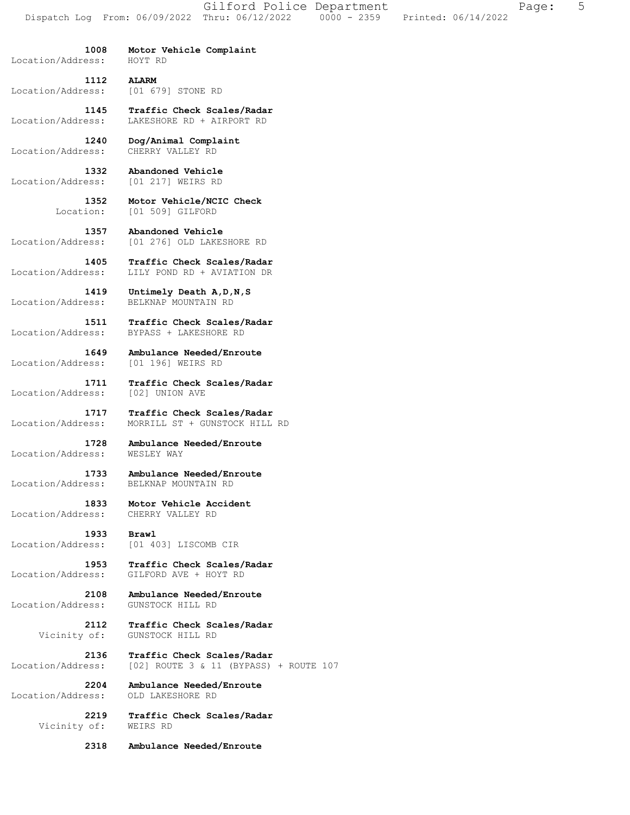Gilford Police Department Fage: 5 Dispatch Log From: 06/09/2022 Thru: 06/12/2022 0000 - 2359 Printed: 06/14/2022

Location/Address: HOYT RD

 **1008 Motor Vehicle Complaint** 

 **1112 ALARM**  Location/Address: [01 679] STONE RD

 **1145 Traffic Check Scales/Radar**  Location/Address: LAKESHORE RD + AIRPORT RD

 **1240 Dog/Animal Complaint**  Location/Address: CHERRY VALLEY RD

 **1332 Abandoned Vehicle**  Location/Address: [01 217] WEIRS RD

> **1352 Motor Vehicle/NCIC Check**  Location: [01 509] GILFORD

 **1357 Abandoned Vehicle**  Location/Address: [01 276] OLD LAKESHORE RD

 **1405 Traffic Check Scales/Radar**  Location/Address: LILY POND RD + AVIATION DR

 **1419 Untimely Death A,D,N,S**  Location/Address: BELKNAP MOUNTAIN RD

 **1511 Traffic Check Scales/Radar**  Location/Address: BYPASS + LAKESHORE RD

 **1649 Ambulance Needed/Enroute**  Location/Address: [01 196] WEIRS RD

 **1711 Traffic Check Scales/Radar**  Location/Address: [02] UNION AVE

 **1717 Traffic Check Scales/Radar**  Location/Address: MORRILL ST + GUNSTOCK HILL RD

 **1728 Ambulance Needed/Enroute**  Location/Address: WESLEY WAY

 **1733 Ambulance Needed/Enroute**  Location/Address: BELKNAP MOUNTAIN RD

 **1833 Motor Vehicle Accident**  Location/Address: CHERRY VALLEY RD

 **1933 Brawl**  Location/Address: [01 403] LISCOMB CIR

 **1953 Traffic Check Scales/Radar**  Location/Address: GILFORD AVE + HOYT RD

 **2108 Ambulance Needed/Enroute**  Location/Address: GUNSTOCK HILL RD

> **2112 Traffic Check Scales/Radar**  Vicinity of: GUNSTOCK HILL RD

 **2136 Traffic Check Scales/Radar**  Location/Address: [02] ROUTE 3 & 11 (BYPASS) + ROUTE 107

 **2204 Ambulance Needed/Enroute**  Location/Address:

Vicinity of:

 **2219 Traffic Check Scales/Radar** 

 **2318 Ambulance Needed/Enroute**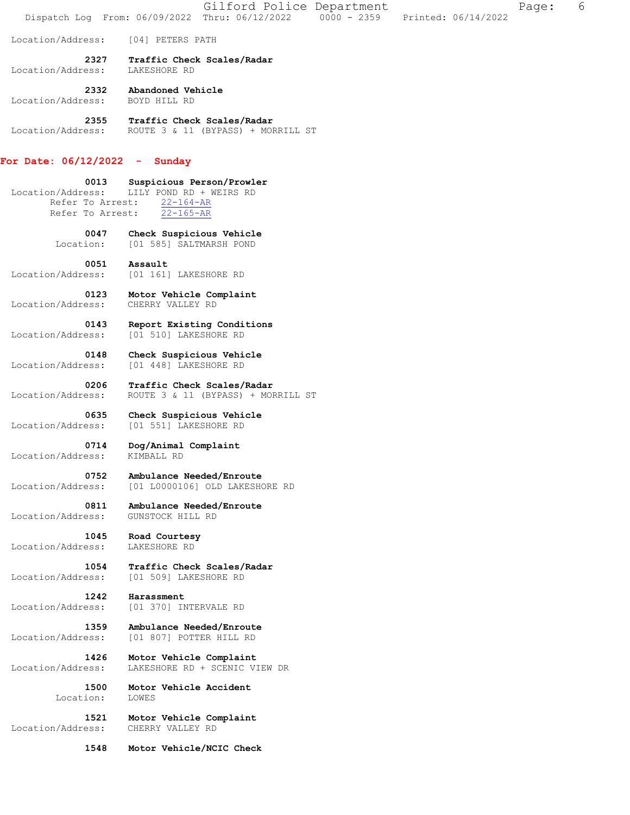Dispatch Log From: 06/09/2022 Thru: 06/12/2022 0000 - 2359 Printed: 06/14/2022 Location/Address: [04] PETERS PATH  **2327 Traffic Check Scales/Radar**  Location/Address: LAKESHORE RD  **2332 Abandoned Vehicle**  Location/Address:  **2355 Traffic Check Scales/Radar**  Location/Address: ROUTE 3 & 11 (BYPASS) + MORRILL ST **For Date: 06/12/2022 - Sunday 0013 Suspicious Person/Prowler**  Location/Address: LILY POND RD + WEIRS RD Refer To Arrest: 22-164-AR Refer To Arrest: 22-165-AR  **0047 Check Suspicious Vehicle**  Location: [01 585] SALTMARSH POND  **0051 Assault**  Location/Address: [01 161] LAKESHORE RD  **0123 Motor Vehicle Complaint**  Location/Address: CHERRY VALLEY RD  **0143 Report Existing Conditions**  Location/Address: [01 510] LAKESHORE RD  **0148 Check Suspicious Vehicle**  Location/Address: [01 448] LAKESHORE RD  **0206 Traffic Check Scales/Radar**  Location/Address: ROUTE 3 & 11 (BYPASS) + MORRILL ST  **0635 Check Suspicious Vehicle**  Location/Address: [01 551] LAKESHORE RD  **0714 Dog/Animal Complaint**  Location/Address:  **0752 Ambulance Needed/Enroute**  Location/Address: [01 L0000106] OLD LAKESHORE RD  **0811 Ambulance Needed/Enroute**  Location/Address: GUNSTOCK HILL RD  **1045 Road Courtesy**  Location/Address: LAKESHORE RD  **1054 Traffic Check Scales/Radar**  Location/Address: [01 509] LAKESHORE RD **1242 Harassment**<br> **Location/Address:** [01 370] IN Location/Address: [01 370] INTERVALE RD  **1359 Ambulance Needed/Enroute**  Location/Address: [01 807] POTTER HILL RD  **1426 Motor Vehicle Complaint**  Location/Address: LAKESHORE RD + SCENIC VIEW DR  **1500 Motor Vehicle Accident** 

Gilford Police Department Fage: 6

Location: LOWES

 **1521 Motor Vehicle Complaint**  Location/Address: CHERRY VALLEY RD

 **1548 Motor Vehicle/NCIC Check**